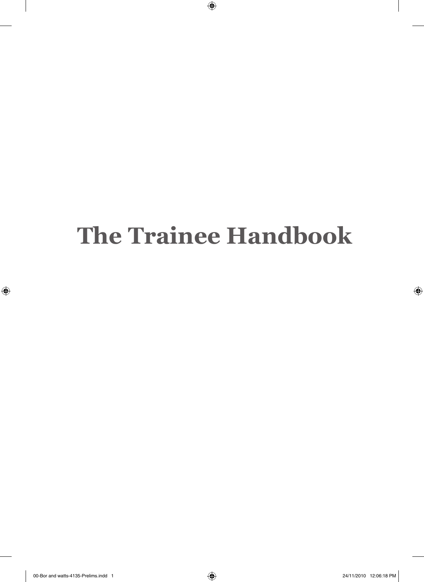$\bigoplus$ 

 $\bigoplus$ 

 $\bigoplus$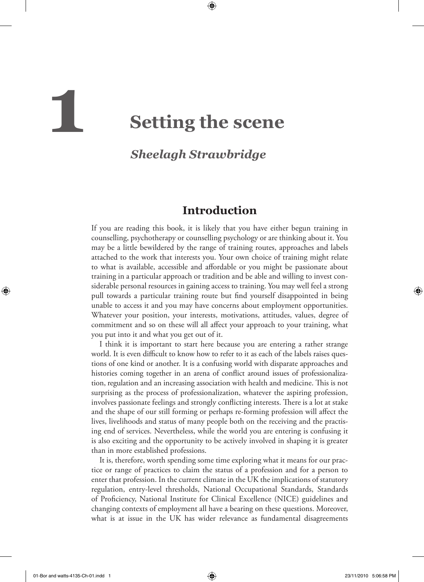*Sheelagh Strawbridge*

⊕

# **Introduction**

If you are reading this book, it is likely that you have either begun training in counselling, psychotherapy or counselling psychology or are thinking about it. You may be a little bewildered by the range of training routes, approaches and labels attached to the work that interests you. Your own choice of training might relate to what is available, accessible and affordable or you might be passionate about training in a particular approach or tradition and be able and willing to invest considerable personal resources in gaining access to training. You may well feel a strong pull towards a particular training route but find yourself disappointed in being unable to access it and you may have concerns about employment opportunities. Whatever your position, your interests, motivations, attitudes, values, degree of commitment and so on these will all affect your approach to your training, what you put into it and what you get out of it.

I think it is important to start here because you are entering a rather strange world. It is even difficult to know how to refer to it as each of the labels raises questions of one kind or another. It is a confusing world with disparate approaches and histories coming together in an arena of conflict around issues of professionalization, regulation and an increasing association with health and medicine. This is not surprising as the process of professionalization, whatever the aspiring profession, involves passionate feelings and strongly conflicting interests. There is a lot at stake and the shape of our still forming or perhaps re-forming profession will affect the lives, livelihoods and status of many people both on the receiving and the practising end of services. Nevertheless, while the world you are entering is confusing it is also exciting and the opportunity to be actively involved in shaping it is greater than in more established professions.

It is, therefore, worth spending some time exploring what it means for our practice or range of practices to claim the status of a profession and for a person to enter that profession. In the current climate in the UK the implications of statutory regulation, entry-level thresholds, National Occupational Standards, Standards of Proficiency, National Institute for Clinical Excellence (NICE) guidelines and changing contexts of employment all have a bearing on these questions. Moreover, what is at issue in the UK has wider relevance as fundamental disagreements

♠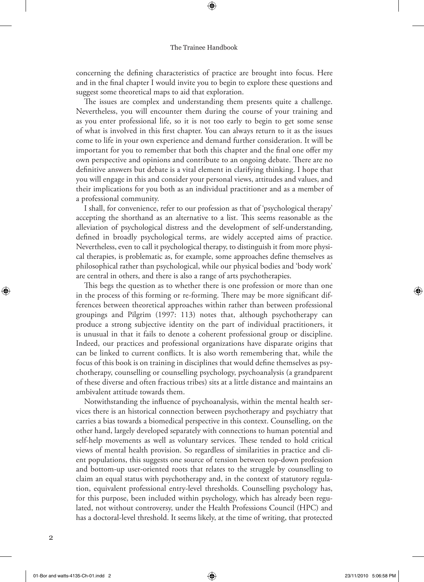⊕

concerning the defining characteristics of practice are brought into focus. Here and in the final chapter I would invite you to begin to explore these questions and suggest some theoretical maps to aid that exploration.

The issues are complex and understanding them presents quite a challenge. Nevertheless, you will encounter them during the course of your training and as you enter professional life, so it is not too early to begin to get some sense of what is involved in this first chapter. You can always return to it as the issues come to life in your own experience and demand further consideration. It will be important for you to remember that both this chapter and the final one offer my own perspective and opinions and contribute to an ongoing debate. There are no definitive answers but debate is a vital element in clarifying thinking. I hope that you will engage in this and consider your personal views, attitudes and values, and their implications for you both as an individual practitioner and as a member of a professional community.

I shall, for convenience, refer to our profession as that of 'psychological therapy' accepting the shorthand as an alternative to a list. This seems reasonable as the alleviation of psychological distress and the development of self-understanding, defined in broadly psychological terms, are widely accepted aims of practice. Nevertheless, even to call it psychological therapy, to distinguish it from more physical therapies, is problematic as, for example, some approaches define themselves as philosophical rather than psychological, while our physical bodies and 'body work' are central in others, and there is also a range of arts psychotherapies.

This begs the question as to whether there is one profession or more than one in the process of this forming or re-forming. There may be more significant differences between theoretical approaches within rather than between professional groupings and Pilgrim (1997: 113) notes that, although psychotherapy can produce a strong subjective identity on the part of individual practitioners, it is unusual in that it fails to denote a coherent professional group or discipline. Indeed, our practices and professional organizations have disparate origins that can be linked to current conflicts. It is also worth remembering that, while the focus of this book is on training in disciplines that would define themselves as psychotherapy, counselling or counselling psychology, psychoanalysis (a grandparent of these diverse and often fractious tribes) sits at a little distance and maintains an ambivalent attitude towards them.

Notwithstanding the influence of psychoanalysis, within the mental health services there is an historical connection between psychotherapy and psychiatry that carries a bias towards a biomedical perspective in this context. Counselling, on the other hand, largely developed separately with connections to human potential and self-help movements as well as voluntary services. These tended to hold critical views of mental health provision. So regardless of similarities in practice and client populations, this suggests one source of tension between top-down profession and bottom-up user-oriented roots that relates to the struggle by counselling to claim an equal status with psychotherapy and, in the context of statutory regulation, equivalent professional entry-level thresholds. Counselling psychology has, for this purpose, been included within psychology, which has already been regulated, not without controversy, under the Health Professions Council (HPC) and has a doctoral-level threshold. It seems likely, at the time of writing, that protected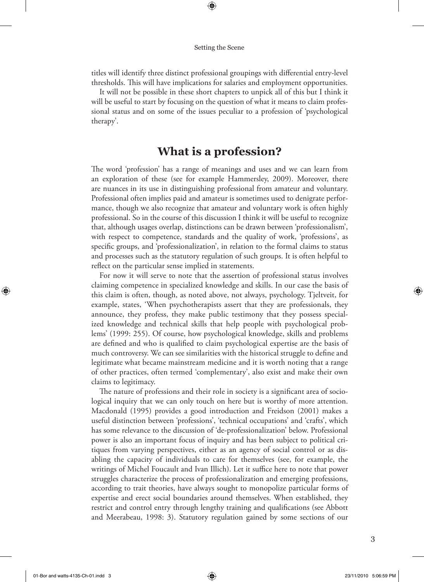⊕

titles will identify three distinct professional groupings with differential entry-level thresholds. This will have implications for salaries and employment opportunities.

It will not be possible in these short chapters to unpick all of this but I think it will be useful to start by focusing on the question of what it means to claim professional status and on some of the issues peculiar to a profession of 'psychological therapy'.

# **What is a profession?**

The word 'profession' has a range of meanings and uses and we can learn from an exploration of these (see for example Hammersley, 2009). Moreover, there are nuances in its use in distinguishing professional from amateur and voluntary. Professional often implies paid and amateur is sometimes used to denigrate performance, though we also recognize that amateur and voluntary work is often highly professional. So in the course of this discussion I think it will be useful to recognize that, although usages overlap, distinctions can be drawn between 'professionalism', with respect to competence, standards and the quality of work, 'professions', as specific groups, and 'professionalization', in relation to the formal claims to status and processes such as the statutory regulation of such groups. It is often helpful to reflect on the particular sense implied in statements.

For now it will serve to note that the assertion of professional status involves claiming competence in specialized knowledge and skills. In our case the basis of this claim is often, though, as noted above, not always, psychology. Tjeltveit, for example, states, 'When psychotherapists assert that they are professionals, they announce, they profess, they make public testimony that they possess specialized knowledge and technical skills that help people with psychological problems' (1999: 255). Of course, how psychological knowledge, skills and problems are defined and who is qualified to claim psychological expertise are the basis of much controversy. We can see similarities with the historical struggle to define and legitimate what became mainstream medicine and it is worth noting that a range of other practices, often termed 'complementary', also exist and make their own claims to legitimacy.

The nature of professions and their role in society is a significant area of sociological inquiry that we can only touch on here but is worthy of more attention. Macdonald (1995) provides a good introduction and Freidson (2001) makes a useful distinction between 'professions', 'technical occupations' and 'crafts', which has some relevance to the discussion of 'de-professionalization' below. Professional power is also an important focus of inquiry and has been subject to political critiques from varying perspectives, either as an agency of social control or as disabling the capacity of individuals to care for themselves (see, for example, the writings of Michel Foucault and Ivan Illich). Let it suffice here to note that power struggles characterize the process of professionalization and emerging professions, according to trait theories, have always sought to monopolize particular forms of expertise and erect social boundaries around themselves. When established, they restrict and control entry through lengthy training and qualifications (see Abbott and Meerabeau, 1998: 3). Statutory regulation gained by some sections of our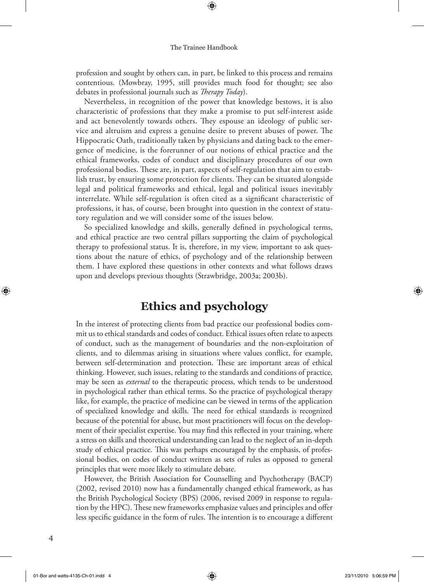⊕

profession and sought by others can, in part, be linked to this process and remains contentious. (Mowbray, 1995, still provides much food for thought; see also debates in professional journals such as *Therapy Today*).

Nevertheless, in recognition of the power that knowledge bestows, it is also characteristic of professions that they make a promise to put self-interest aside and act benevolently towards others. They espouse an ideology of public service and altruism and express a genuine desire to prevent abuses of power. The Hippocratic Oath, traditionally taken by physicians and dating back to the emergence of medicine, is the forerunner of our notions of ethical practice and the ethical frameworks, codes of conduct and disciplinary procedures of our own professional bodies. These are, in part, aspects of self-regulation that aim to establish trust, by ensuring some protection for clients. They can be situated alongside legal and political frameworks and ethical, legal and political issues inevitably interrelate. While self-regulation is often cited as a significant characteristic of professions, it has, of course, been brought into question in the context of statutory regulation and we will consider some of the issues below.

So specialized knowledge and skills, generally defined in psychological terms, and ethical practice are two central pillars supporting the claim of psychological therapy to professional status. It is, therefore, in my view, important to ask questions about the nature of ethics, of psychology and of the relationship between them. I have explored these questions in other contexts and what follows draws upon and develops previous thoughts (Strawbridge, 2003a; 2003b).

# **Ethics and psychology**

In the interest of protecting clients from bad practice our professional bodies commit us to ethical standards and codes of conduct. Ethical issues often relate to aspects of conduct, such as the management of boundaries and the non-exploitation of clients, and to dilemmas arising in situations where values conflict, for example, between self-determination and protection. These are important areas of ethical thinking. However, such issues, relating to the standards and conditions of practice, may be seen as *external* to the therapeutic process, which tends to be understood in psychological rather than ethical terms. So the practice of psychological therapy like, for example, the practice of medicine can be viewed in terms of the application of specialized knowledge and skills. The need for ethical standards is recognized because of the potential for abuse, but most practitioners will focus on the development of their specialist expertise. You may find this reflected in your training, where a stress on skills and theoretical understanding can lead to the neglect of an in-depth study of ethical practice. This was perhaps encouraged by the emphasis, of professional bodies, on codes of conduct written as sets of rules as opposed to general principles that were more likely to stimulate debate.

However, the British Association for Counselling and Psychotherapy (BACP) (2002, revised 2010) now has a fundamentally changed ethical framework, as has the British Psychological Society (BPS) (2006, revised 2009 in response to regulation by the HPC). These new frameworks emphasize values and principles and offer less specific guidance in the form of rules. The intention is to encourage a different

♠

 $\Leftrightarrow$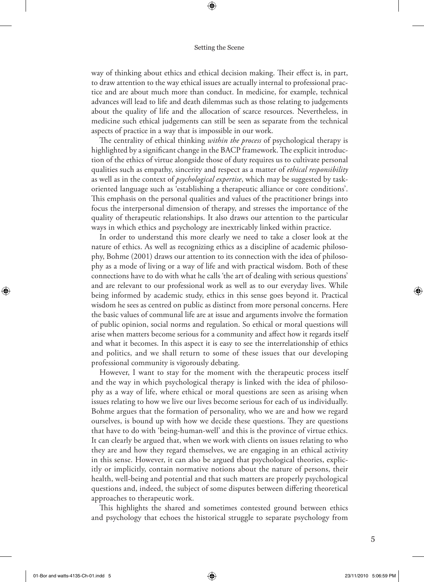⊕

way of thinking about ethics and ethical decision making. Their effect is, in part, to draw attention to the way ethical issues are actually internal to professional practice and are about much more than conduct. In medicine, for example, technical advances will lead to life and death dilemmas such as those relating to judgements about the quality of life and the allocation of scarce resources. Nevertheless, in medicine such ethical judgements can still be seen as separate from the technical aspects of practice in a way that is impossible in our work.

The centrality of ethical thinking *within the process* of psychological therapy is highlighted by a significant change in the BACP framework. The explicit introduction of the ethics of virtue alongside those of duty requires us to cultivate personal qualities such as empathy, sincerity and respect as a matter of *ethical responsibility* as well as in the context of *psychological expertise*, which may be suggested by taskoriented language such as 'establishing a therapeutic alliance or core conditions'. This emphasis on the personal qualities and values of the practitioner brings into focus the interpersonal dimension of therapy, and stresses the importance of the quality of therapeutic relationships. It also draws our attention to the particular ways in which ethics and psychology are inextricably linked within practice.

In order to understand this more clearly we need to take a closer look at the nature of ethics. As well as recognizing ethics as a discipline of academic philosophy, Bohme (2001) draws our attention to its connection with the idea of philosophy as a mode of living or a way of life and with practical wisdom. Both of these connections have to do with what he calls 'the art of dealing with serious questions' and are relevant to our professional work as well as to our everyday lives. While being informed by academic study, ethics in this sense goes beyond it. Practical wisdom he sees as centred on public as distinct from more personal concerns. Here the basic values of communal life are at issue and arguments involve the formation of public opinion, social norms and regulation. So ethical or moral questions will arise when matters become serious for a community and affect how it regards itself and what it becomes. In this aspect it is easy to see the interrelationship of ethics and politics, and we shall return to some of these issues that our developing professional community is vigorously debating.

However, I want to stay for the moment with the therapeutic process itself and the way in which psychological therapy is linked with the idea of philosophy as a way of life, where ethical or moral questions are seen as arising when issues relating to how we live our lives become serious for each of us individually. Bohme argues that the formation of personality, who we are and how we regard ourselves, is bound up with how we decide these questions. They are questions that have to do with 'being-human-well' and this is the province of virtue ethics. It can clearly be argued that, when we work with clients on issues relating to who they are and how they regard themselves, we are engaging in an ethical activity in this sense. However, it can also be argued that psychological theories, explicitly or implicitly, contain normative notions about the nature of persons, their health, well-being and potential and that such matters are properly psychological questions and, indeed, the subject of some disputes between differing theoretical approaches to therapeutic work.

This highlights the shared and sometimes contested ground between ethics and psychology that echoes the historical struggle to separate psychology from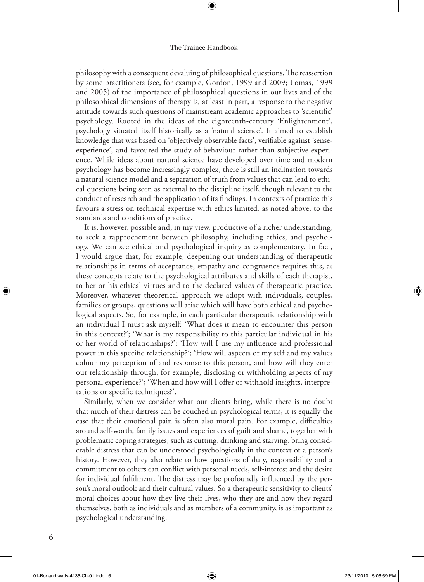⊕

philosophy with a consequent devaluing of philosophical questions. The reassertion by some practitioners (see, for example, Gordon, 1999 and 2009; Lomas, 1999 and 2005) of the importance of philosophical questions in our lives and of the philosophical dimensions of therapy is, at least in part, a response to the negative attitude towards such questions of mainstream academic approaches to 'scientific' psychology. Rooted in the ideas of the eighteenth-century 'Enlightenment', psychology situated itself historically as a 'natural science'. It aimed to establish knowledge that was based on 'objectively observable facts', verifiable against 'senseexperience', and favoured the study of behaviour rather than subjective experience. While ideas about natural science have developed over time and modern psychology has become increasingly complex, there is still an inclination towards a natural science model and a separation of truth from values that can lead to ethical questions being seen as external to the discipline itself, though relevant to the conduct of research and the application of its findings. In contexts of practice this favours a stress on technical expertise with ethics limited, as noted above, to the standards and conditions of practice.

It is, however, possible and, in my view, productive of a richer understanding, to seek a rapprochement between philosophy, including ethics, and psychology. We can see ethical and psychological inquiry as complementary. In fact, I would argue that, for example, deepening our understanding of therapeutic relationships in terms of acceptance, empathy and congruence requires this, as these concepts relate to the psychological attributes and skills of each therapist, to her or his ethical virtues and to the declared values of therapeutic practice. Moreover, whatever theoretical approach we adopt with individuals, couples, families or groups, questions will arise which will have both ethical and psychological aspects. So, for example, in each particular therapeutic relationship with an individual I must ask myself: 'What does it mean to encounter this person in this context?'; 'What is my responsibility to this particular individual in his or her world of relationships?'; 'How will I use my influence and professional power in this specific relationship?'; 'How will aspects of my self and my values colour my perception of and response to this person, and how will they enter our relationship through, for example, disclosing or withholding aspects of my personal experience?'; 'When and how will I offer or withhold insights, interpretations or specific techniques?'.

Similarly, when we consider what our clients bring, while there is no doubt that much of their distress can be couched in psychological terms, it is equally the case that their emotional pain is often also moral pain. For example, difficulties around self-worth, family issues and experiences of guilt and shame, together with problematic coping strategies, such as cutting, drinking and starving, bring considerable distress that can be understood psychologically in the context of a person's history. However, they also relate to how questions of duty, responsibility and a commitment to others can conflict with personal needs, self-interest and the desire for individual fulfilment. The distress may be profoundly influenced by the person's moral outlook and their cultural values. So a therapeutic sensitivity to clients' moral choices about how they live their lives, who they are and how they regard themselves, both as individuals and as members of a community, is as important as psychological understanding.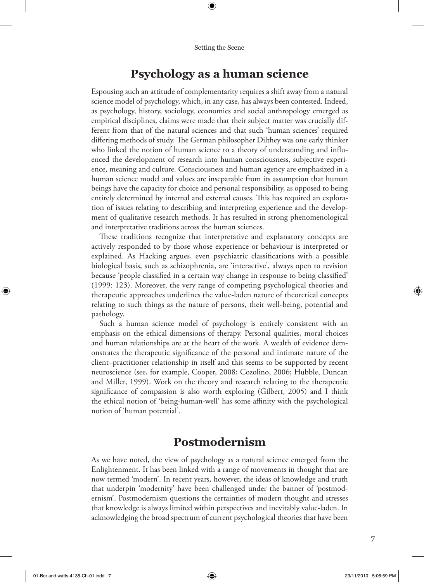⊕

# **Psychology as a human science**

Espousing such an attitude of complementarity requires a shift away from a natural science model of psychology, which, in any case, has always been contested. Indeed, as psychology, history, sociology, economics and social anthropology emerged as empirical disciplines, claims were made that their subject matter was crucially different from that of the natural sciences and that such 'human sciences' required differing methods of study. The German philosopher Dilthey was one early thinker who linked the notion of human science to a theory of understanding and influenced the development of research into human consciousness, subjective experience, meaning and culture. Consciousness and human agency are emphasized in a human science model and values are inseparable from its assumption that human beings have the capacity for choice and personal responsibility, as opposed to being entirely determined by internal and external causes. This has required an exploration of issues relating to describing and interpreting experience and the development of qualitative research methods. It has resulted in strong phenomenological and interpretative traditions across the human sciences.

These traditions recognize that interpretative and explanatory concepts are actively responded to by those whose experience or behaviour is interpreted or explained. As Hacking argues, even psychiatric classifications with a possible biological basis, such as schizophrenia, are 'interactive', always open to revision because 'people classified in a certain way change in response to being classified' (1999: 123). Moreover, the very range of competing psychological theories and therapeutic approaches underlines the value-laden nature of theoretical concepts relating to such things as the nature of persons, their well-being, potential and pathology.

Such a human science model of psychology is entirely consistent with an emphasis on the ethical dimensions of therapy. Personal qualities, moral choices and human relationships are at the heart of the work. A wealth of evidence demonstrates the therapeutic significance of the personal and intimate nature of the client–practitioner relationship in itself and this seems to be supported by recent neuroscience (see, for example, Cooper, 2008; Cozolino, 2006; Hubble, Duncan and Miller, 1999). Work on the theory and research relating to the therapeutic significance of compassion is also worth exploring (Gilbert, 2005) and I think the ethical notion of 'being-human-well' has some affinity with the psychological notion of 'human potential'.

# **Postmodernism**

As we have noted, the view of psychology as a natural science emerged from the Enlightenment. It has been linked with a range of movements in thought that are now termed 'modern'. In recent years, however, the ideas of knowledge and truth that underpin 'modernity' have been challenged under the banner of 'postmodernism'. Postmodernism questions the certainties of modern thought and stresses that knowledge is always limited within perspectives and inevitably value-laden. In acknowledging the broad spectrum of current psychological theories that have been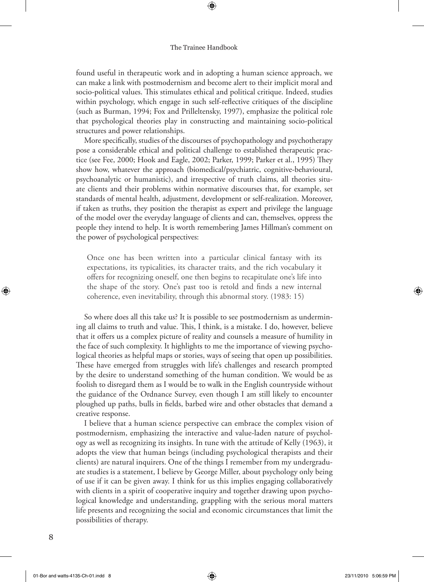⊕

found useful in therapeutic work and in adopting a human science approach, we can make a link with postmodernism and become alert to their implicit moral and socio-political values. This stimulates ethical and political critique. Indeed, studies within psychology, which engage in such self-reflective critiques of the discipline (such as Burman, 1994; Fox and Prilleltensky, 1997), emphasize the political role that psychological theories play in constructing and maintaining socio-political structures and power relationships.

More specifically, studies of the discourses of psychopathology and psychotherapy pose a considerable ethical and political challenge to established therapeutic practice (see Fee, 2000; Hook and Eagle, 2002; Parker, 1999; Parker et al., 1995) They show how, whatever the approach (biomedical/psychiatric, cognitive-behavioural, psychoanalytic or humanistic), and irrespective of truth claims, all theories situate clients and their problems within normative discourses that, for example, set standards of mental health, adjustment, development or self-realization. Moreover, if taken as truths, they position the therapist as expert and privilege the language of the model over the everyday language of clients and can, themselves, oppress the people they intend to help. It is worth remembering James Hillman's comment on the power of psychological perspectives:

Once one has been written into a particular clinical fantasy with its expectations, its typicalities, its character traits, and the rich vocabulary it offers for recognizing oneself, one then begins to recapitulate one's life into the shape of the story. One's past too is retold and finds a new internal coherence, even inevitability, through this abnormal story. (1983: 15)

So where does all this take us? It is possible to see postmodernism as undermining all claims to truth and value. This, I think, is a mistake. I do, however, believe that it offers us a complex picture of reality and counsels a measure of humility in the face of such complexity. It highlights to me the importance of viewing psychological theories as helpful maps or stories, ways of seeing that open up possibilities. These have emerged from struggles with life's challenges and research prompted by the desire to understand something of the human condition. We would be as foolish to disregard them as I would be to walk in the English countryside without the guidance of the Ordnance Survey, even though I am still likely to encounter ploughed up paths, bulls in fields, barbed wire and other obstacles that demand a creative response.

I believe that a human science perspective can embrace the complex vision of postmodernism, emphasizing the interactive and value-laden nature of psychology as well as recognizing its insights. In tune with the attitude of Kelly (1963), it adopts the view that human beings (including psychological therapists and their clients) are natural inquirers. One of the things I remember from my undergraduate studies is a statement, I believe by George Miller, about psychology only being of use if it can be given away. I think for us this implies engaging collaboratively with clients in a spirit of cooperative inquiry and together drawing upon psychological knowledge and understanding, grappling with the serious moral matters life presents and recognizing the social and economic circumstances that limit the possibilities of therapy.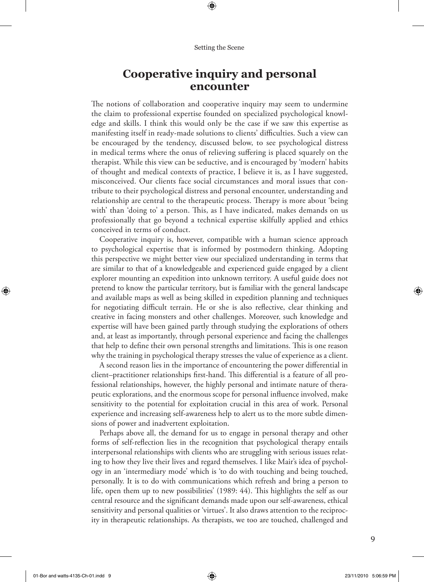⊕

# **Cooperative inquiry and personal encounter**

The notions of collaboration and cooperative inquiry may seem to undermine the claim to professional expertise founded on specialized psychological knowledge and skills. I think this would only be the case if we saw this expertise as manifesting itself in ready-made solutions to clients' difficulties. Such a view can be encouraged by the tendency, discussed below, to see psychological distress in medical terms where the onus of relieving suffering is placed squarely on the therapist. While this view can be seductive, and is encouraged by 'modern' habits of thought and medical contexts of practice, I believe it is, as I have suggested, misconceived. Our clients face social circumstances and moral issues that contribute to their psychological distress and personal encounter, understanding and relationship are central to the therapeutic process. Therapy is more about 'being with' than 'doing to' a person. This, as I have indicated, makes demands on us professionally that go beyond a technical expertise skilfully applied and ethics conceived in terms of conduct.

Cooperative inquiry is, however, compatible with a human science approach to psychological expertise that is informed by postmodern thinking. Adopting this perspective we might better view our specialized understanding in terms that are similar to that of a knowledgeable and experienced guide engaged by a client explorer mounting an expedition into unknown territory. A useful guide does not pretend to know the particular territory, but is familiar with the general landscape and available maps as well as being skilled in expedition planning and techniques for negotiating difficult terrain. He or she is also reflective, clear thinking and creative in facing monsters and other challenges. Moreover, such knowledge and expertise will have been gained partly through studying the explorations of others and, at least as importantly, through personal experience and facing the challenges that help to define their own personal strengths and limitations. This is one reason why the training in psychological therapy stresses the value of experience as a client.

A second reason lies in the importance of encountering the power differential in client–practitioner relationships first-hand. This differential is a feature of all professional relationships, however, the highly personal and intimate nature of therapeutic explorations, and the enormous scope for personal influence involved, make sensitivity to the potential for exploitation crucial in this area of work. Personal experience and increasing self-awareness help to alert us to the more subtle dimensions of power and inadvertent exploitation.

Perhaps above all, the demand for us to engage in personal therapy and other forms of self-reflection lies in the recognition that psychological therapy entails interpersonal relationships with clients who are struggling with serious issues relating to how they live their lives and regard themselves. I like Mair's idea of psychology in an 'intermediary mode' which is 'to do with touching and being touched, personally. It is to do with communications which refresh and bring a person to life, open them up to new possibilities' (1989: 44). This highlights the self as our central resource and the significant demands made upon our self-awareness, ethical sensitivity and personal qualities or 'virtues'. It also draws attention to the reciprocity in therapeutic relationships. As therapists, we too are touched, challenged and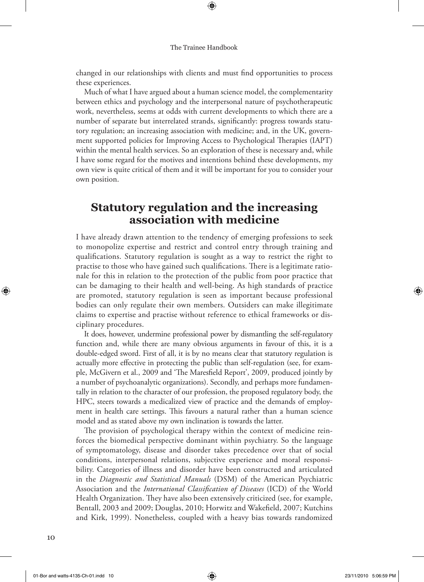⊕

changed in our relationships with clients and must find opportunities to process these experiences.

Much of what I have argued about a human science model, the complementarity between ethics and psychology and the interpersonal nature of psychotherapeutic work, nevertheless, seems at odds with current developments to which there are a number of separate but interrelated strands, significantly: progress towards statutory regulation; an increasing association with medicine; and, in the UK, government supported policies for Improving Access to Psychological Therapies (IAPT) within the mental health services. So an exploration of these is necessary and, while I have some regard for the motives and intentions behind these developments, my own view is quite critical of them and it will be important for you to consider your own position.

# **Statutory regulation and the increasing association with medicine**

I have already drawn attention to the tendency of emerging professions to seek to monopolize expertise and restrict and control entry through training and qualifications. Statutory regulation is sought as a way to restrict the right to practise to those who have gained such qualifications. There is a legitimate rationale for this in relation to the protection of the public from poor practice that can be damaging to their health and well-being. As high standards of practice are promoted, statutory regulation is seen as important because professional bodies can only regulate their own members. Outsiders can make illegitimate claims to expertise and practise without reference to ethical frameworks or disciplinary procedures.

It does, however, undermine professional power by dismantling the self-regulatory function and, while there are many obvious arguments in favour of this, it is a double-edged sword. First of all, it is by no means clear that statutory regulation is actually more effective in protecting the public than self-regulation (see, for example, McGivern et al., 2009 and 'The Maresfield Report', 2009, produced jointly by a number of psychoanalytic organizations). Secondly, and perhaps more fundamentally in relation to the character of our profession, the proposed regulatory body, the HPC, steers towards a medicalized view of practice and the demands of employment in health care settings. This favours a natural rather than a human science model and as stated above my own inclination is towards the latter.

The provision of psychological therapy within the context of medicine reinforces the biomedical perspective dominant within psychiatry. So the language of symptomatology, disease and disorder takes precedence over that of social conditions, interpersonal relations, subjective experience and moral responsibility. Categories of illness and disorder have been constructed and articulated in the *Diagnostic and Statistical Manuals* (DSM) of the American Psychiatric Association and the *International Classification of Diseases* (ICD) of the World Health Organization. They have also been extensively criticized (see, for example, Bentall, 2003 and 2009; Douglas, 2010; Horwitz and Wakefield, 2007; Kutchins and Kirk, 1999). Nonetheless, coupled with a heavy bias towards randomized

♠

 $\Leftrightarrow$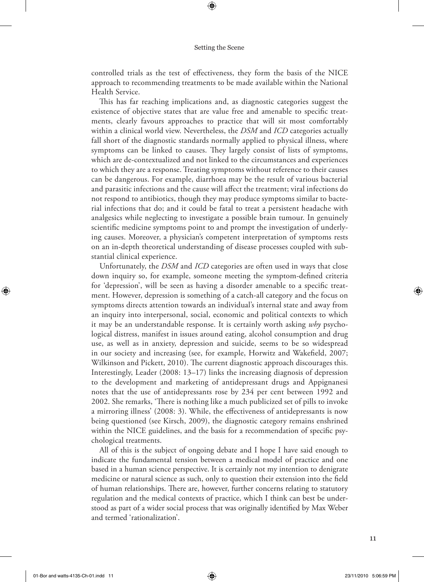⊕

controlled trials as the test of effectiveness, they form the basis of the NICE approach to recommending treatments to be made available within the National Health Service.

This has far reaching implications and, as diagnostic categories suggest the existence of objective states that are value free and amenable to specific treatments, clearly favours approaches to practice that will sit most comfortably within a clinical world view. Nevertheless, the *DSM* and *ICD* categories actually fall short of the diagnostic standards normally applied to physical illness, where symptoms can be linked to causes. They largely consist of lists of symptoms, which are de-contextualized and not linked to the circumstances and experiences to which they are a response. Treating symptoms without reference to their causes can be dangerous. For example, diarrhoea may be the result of various bacterial and parasitic infections and the cause will affect the treatment; viral infections do not respond to antibiotics, though they may produce symptoms similar to bacterial infections that do; and it could be fatal to treat a persistent headache with analgesics while neglecting to investigate a possible brain tumour. In genuinely scientific medicine symptoms point to and prompt the investigation of underlying causes. Moreover, a physician's competent interpretation of symptoms rests on an in-depth theoretical understanding of disease processes coupled with substantial clinical experience.

Unfortunately, the *DSM* and *ICD* categories are often used in ways that close down inquiry so, for example, someone meeting the symptom-defined criteria for 'depression', will be seen as having a disorder amenable to a specific treatment. However, depression is something of a catch-all category and the focus on symptoms directs attention towards an individual's internal state and away from an inquiry into interpersonal, social, economic and political contexts to which it may be an understandable response. It is certainly worth asking *why* psychological distress, manifest in issues around eating, alcohol consumption and drug use, as well as in anxiety, depression and suicide, seems to be so widespread in our society and increasing (see, for example, Horwitz and Wakefield, 2007; Wilkinson and Pickett, 2010). The current diagnostic approach discourages this. Interestingly, Leader (2008: 13–17) links the increasing diagnosis of depression to the development and marketing of antidepressant drugs and Appignanesi notes that the use of antidepressants rose by 234 per cent between 1992 and 2002. She remarks, 'There is nothing like a much publicized set of pills to invoke a mirroring illness' (2008: 3). While, the effectiveness of antidepressants is now being questioned (see Kirsch, 2009), the diagnostic category remains enshrined within the NICE guidelines, and the basis for a recommendation of specific psychological treatments.

All of this is the subject of ongoing debate and I hope I have said enough to indicate the fundamental tension between a medical model of practice and one based in a human science perspective. It is certainly not my intention to denigrate medicine or natural science as such, only to question their extension into the field of human relationships. There are, however, further concerns relating to statutory regulation and the medical contexts of practice, which I think can best be understood as part of a wider social process that was originally identified by Max Weber and termed 'rationalization'.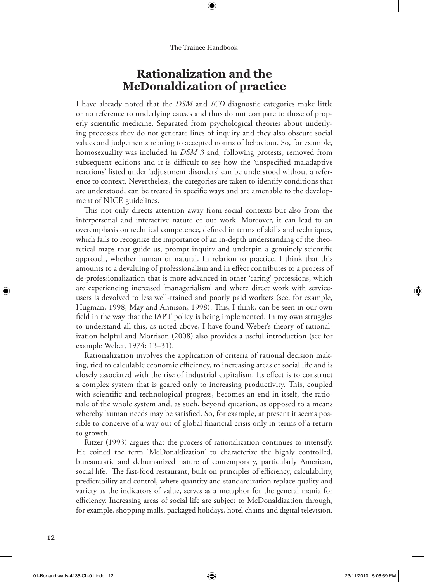⊕

# **Rationalization and the McDonaldization of practice**

I have already noted that the *DSM* and *ICD* diagnostic categories make little or no reference to underlying causes and thus do not compare to those of properly scientific medicine. Separated from psychological theories about underlying processes they do not generate lines of inquiry and they also obscure social values and judgements relating to accepted norms of behaviour. So, for example, homosexuality was included in *DSM 3* and, following protests, removed from subsequent editions and it is difficult to see how the 'unspecified maladaptive reactions' listed under 'adjustment disorders' can be understood without a reference to context. Nevertheless, the categories are taken to identify conditions that are understood, can be treated in specific ways and are amenable to the development of NICE guidelines.

This not only directs attention away from social contexts but also from the interpersonal and interactive nature of our work. Moreover, it can lead to an overemphasis on technical competence, defined in terms of skills and techniques, which fails to recognize the importance of an in-depth understanding of the theoretical maps that guide us, prompt inquiry and underpin a genuinely scientific approach, whether human or natural. In relation to practice, I think that this amounts to a devaluing of professionalism and in effect contributes to a process of de-professionalization that is more advanced in other 'caring' professions, which are experiencing increased 'managerialism' and where direct work with serviceusers is devolved to less well-trained and poorly paid workers (see, for example, Hugman, 1998; May and Annison, 1998). This, I think, can be seen in our own field in the way that the IAPT policy is being implemented. In my own struggles to understand all this, as noted above, I have found Weber's theory of rationalization helpful and Morrison (2008) also provides a useful introduction (see for example Weber, 1974: 13–31).

Rationalization involves the application of criteria of rational decision making, tied to calculable economic efficiency, to increasing areas of social life and is closely associated with the rise of industrial capitalism. Its effect is to construct a complex system that is geared only to increasing productivity. This, coupled with scientific and technological progress, becomes an end in itself, the rationale of the whole system and, as such, beyond question, as opposed to a means whereby human needs may be satisfied. So, for example, at present it seems possible to conceive of a way out of global financial crisis only in terms of a return to growth.

Ritzer (1993) argues that the process of rationalization continues to intensify. He coined the term 'McDonaldization' to characterize the highly controlled, bureaucratic and dehumanized nature of contemporary, particularly American, social life. The fast-food restaurant, built on principles of efficiency, calculability, predictability and control, where quantity and standardization replace quality and variety as the indicators of value, serves as a metaphor for the general mania for efficiency. Increasing areas of social life are subject to McDonaldization through, for example, shopping malls, packaged holidays, hotel chains and digital television.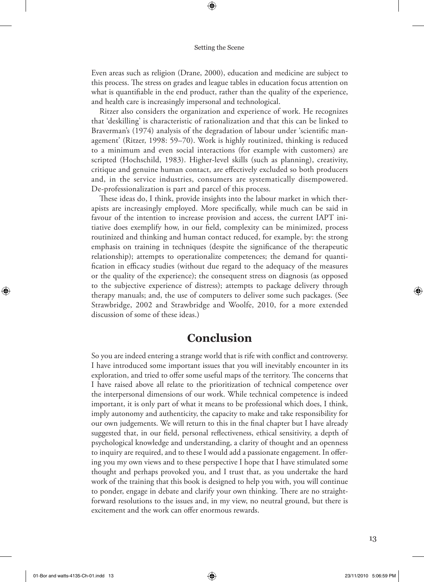⊕

Even areas such as religion (Drane, 2000), education and medicine are subject to this process. The stress on grades and league tables in education focus attention on what is quantifiable in the end product, rather than the quality of the experience, and health care is increasingly impersonal and technological.

Ritzer also considers the organization and experience of work. He recognizes that 'deskilling' is characteristic of rationalization and that this can be linked to Braverman's (1974) analysis of the degradation of labour under 'scientific management' (Ritzer, 1998: 59–70). Work is highly routinized, thinking is reduced to a minimum and even social interactions (for example with customers) are scripted (Hochschild, 1983). Higher-level skills (such as planning), creativity, critique and genuine human contact, are effectively excluded so both producers and, in the service industries, consumers are systematically disempowered. De-professionalization is part and parcel of this process.

These ideas do, I think, provide insights into the labour market in which therapists are increasingly employed. More specifically, while much can be said in favour of the intention to increase provision and access, the current IAPT initiative does exemplify how, in our field, complexity can be minimized, process routinized and thinking and human contact reduced, for example, by: the strong emphasis on training in techniques (despite the significance of the therapeutic relationship); attempts to operationalize competences; the demand for quantification in efficacy studies (without due regard to the adequacy of the measures or the quality of the experience); the consequent stress on diagnosis (as opposed to the subjective experience of distress); attempts to package delivery through therapy manuals; and, the use of computers to deliver some such packages. (See Strawbridge, 2002 and Strawbridge and Woolfe, 2010, for a more extended discussion of some of these ideas.)

## **Conclusion**

So you are indeed entering a strange world that is rife with conflict and controversy. I have introduced some important issues that you will inevitably encounter in its exploration, and tried to offer some useful maps of the territory. The concerns that I have raised above all relate to the prioritization of technical competence over the interpersonal dimensions of our work. While technical competence is indeed important, it is only part of what it means to be professional which does, I think, imply autonomy and authenticity, the capacity to make and take responsibility for our own judgements. We will return to this in the final chapter but I have already suggested that, in our field, personal reflectiveness, ethical sensitivity, a depth of psychological knowledge and understanding, a clarity of thought and an openness to inquiry are required, and to these I would add a passionate engagement. In offering you my own views and to these perspective I hope that I have stimulated some thought and perhaps provoked you, and I trust that, as you undertake the hard work of the training that this book is designed to help you with, you will continue to ponder, engage in debate and clarify your own thinking. There are no straightforward resolutions to the issues and, in my view, no neutral ground, but there is excitement and the work can offer enormous rewards.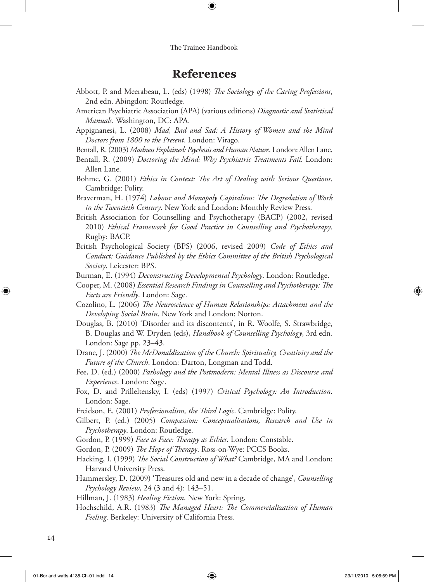⊕

# **References**

- Abbott, P. and Meerabeau, L. (eds) (1998) *The Sociology of the Caring Professions*, 2nd edn. Abingdon: Routledge.
- American Psychiatric Association (APA) (various editions) *Diagnostic and Statistical Manuals*. Washington, DC: APA.
- Appignanesi, L. (2008) *Mad, Bad and Sad: A History of Women and the Mind Doctors from 1800 to the Present*. London: Virago.
- Bentall, R. (2003) *Madness Explained: Psychosis and Human Nature*. London: Allen Lane.
- Bentall, R. (2009) *Doctoring the Mind: Why Psychiatric Treatments Fail*. London: Allen Lane.
- Bohme, G. (2001) *Ethics in Context: The Art of Dealing with Serious Questions*. Cambridge: Polity.
- Braverman, H. (1974) *Labour and Monopoly Capitalism: The Degredation of Work in the Twentieth Century*. New York and London: Monthly Review Press.
- British Association for Counselling and Psychotherapy (BACP) (2002, revised 2010) *Ethical Framework for Good Practice in Counselling and Psychotherapy*. Rugby: BACP.
- British Psychological Society (BPS) (2006, revised 2009) *Code of Ethics and Conduct: Guidance Published by the Ethics Committee of the British Psychological Society*. Leicester: BPS.
- Burman, E. (1994) *Deconstructing Developmental Psychology*. London: Routledge.
- Cooper, M. (2008) *Essential Research Findings in Counselling and Psychotherapy: The Facts are Friendly*. London: Sage.
- Cozolino, L. (2006) *The Neuroscience of Human Relationships: Attachment and the Developing Social Brain*. New York and London: Norton.
- Douglas, B. (2010) 'Disorder and its discontents', in R. Woolfe, S. Strawbridge, B. Douglas and W. Dryden (eds), *Handbook of Counselling Psychology*, 3rd edn*.* London: Sage pp. 23–43.
- Drane, J. (2000) *The McDonaldization of the Church: Spirituality, Creativity and the Future of the Church*. London: Darton, Longman and Todd.
- Fee, D. (ed.) (2000) *Pathology and the Postmodern: Mental Illness as Discourse and Experience*. London: Sage.
- Fox, D. and Prilleltensky, I. (eds) (1997) *Critical Psychology: An Introduction*. London: Sage.
- Freidson, E. (2001) *Professionalism, the Third Logic*. Cambridge: Polity.
- Gilbert, P. (ed.) (2005) *Compassion: Conceptualisations, Research and Use in Psychotherapy*. London: Routledge.
- Gordon, P. (1999) *Face to Face: Therapy as Ethics*. London: Constable.
- Gordon, P. (2009) *The Hope of Therapy*. Ross-on-Wye: PCCS Books.
- Hacking, I. (1999) *The Social Construction of What?* Cambridge, MA and London: Harvard University Press.
- Hammersley, D. (2009) 'Treasures old and new in a decade of change', *Counselling Psychology Review*, 24 (3 and 4): 143–51.
- Hillman, J. (1983) *Healing Fiction*. New York: Spring.
- Hochschild, A.R. (1983) *The Managed Heart: The Commercialization of Human Feeling*. Berkeley: University of California Press.

14

⊕

↔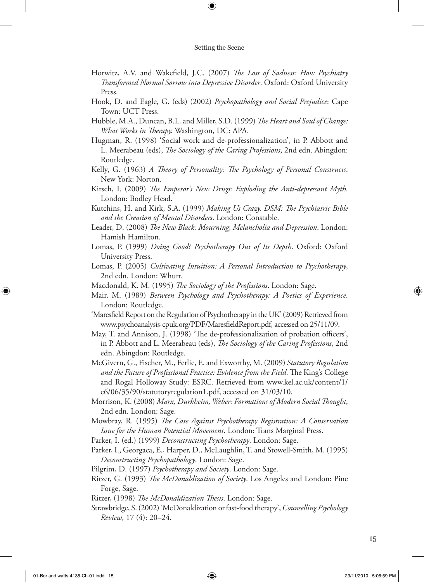⊕

- Horwitz, A.V. and Wakefield, J.C. (2007) *The Loss of Sadness: How Psychiatry Transformed Normal Sorrow into Depressive Disorder*. Oxford: Oxford University Press.
- Hook, D. and Eagle, G. (eds) (2002) *Psychopathology and Social Prejudice*: Cape Town: UCT Press.
- Hubble, M.A., Duncan, B.L. and Miller, S.D. (1999) *The Heart and Soul of Change: What Works in Therapy.* Washington, DC: APA.
- Hugman, R. (1998) 'Social work and de-professionalization', in P. Abbott and L. Meerabeau (eds), *The Sociology of the Caring Professions*, 2nd edn. Abingdon: Routledge.
- Kelly, G. (1963) *A Theory of Personality: The Psychology of Personal Constructs*. New York: Norton.
- Kirsch, I. (2009) *The Emperor's New Drugs: Exploding the Anti-depressant Myth*. London: Bodley Head.
- Kutchins, H. and Kirk, S.A. (1999) *Making Us Crazy. DSM: The Psychiatric Bible and the Creation of Mental Disorders*. London: Constable.
- Leader, D. (2008) *The New Black: Mourning, Melancholia and Depression*. London: Hamish Hamilton.
- Lomas, P. (1999) *Doing Good? Psychotherapy Out of Its Depth*. Oxford: Oxford University Press.
- Lomas, P. (2005) *Cultivating Intuition: A Personal Introduction to Psychotherapy*, 2nd edn. London: Whurr.
- Macdonald, K. M. (1995) *The Sociology of the Professions*. London: Sage.
- Mair, M. (1989) *Between Psychology and Psychotherapy: A Poetics of Experience*. London: Routledge.
- 'Maresfield Report on the Regulation of Psychotherapy in the UK' (2009) Retrieved from www.psychoanalysis-cpuk.org/PDF/MaresfieldReport.pdf, accessed on 25/11/09.
- May, T. and Annison, J. (1998) 'The de-professionalization of probation officers', in P. Abbott and L. Meerabeau (eds), *The Sociology of the Caring Professions*, 2nd edn. Abingdon: Routledge.
- McGivern, G., Fischer, M., Ferlie, E. and Exworthy, M. (2009) *Statutory Regulation and the Future of Professional Practice: Evidence from the Field*. The King's College and Rogal Holloway Study: ESRC. Retrieved from www.kel.ac.uk/content/1/ c6/06/35/90/statutoryregulation1.pdf, accessed on 31/03/10.
- Morrison, K. (2008) *Marx, Durkheim, Weber: Formations of Modern Social Thought*, 2nd edn. London: Sage.
- Mowbray, R. (1995) *The Case Against Psychotherapy Registration: A Conservation Issue for the Human Potential Movement*. London: Trans Marginal Press.
- Parker, I. (ed.) (1999) *Deconstructing Psychotherapy*. London: Sage.
- Parker, I., Georgaca, E., Harper, D., McLaughlin, T. and Stowell-Smith, M. (1995) *Deconstructing Psychopathology*. London: Sage.
- Pilgrim, D. (1997) *Psychotherapy and Society*. London: Sage.
- Ritzer, G. (1993) *The McDonaldization of Society*. Los Angeles and London: Pine Forge, Sage.
- Ritzer, (1998) *The McDonaldization Thesis*. London: Sage.
- Strawbridge, S. (2002) 'McDonaldization or fast-food therapy', *Counselling Psychology Review*, 17 (4): 20–24.

↔